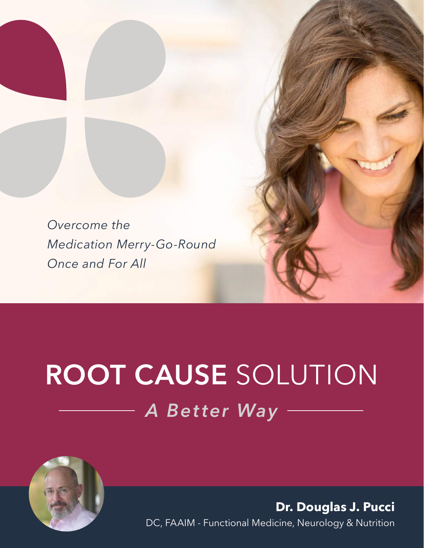*Overcome the Medication Merry-Go-Round Once and For All*

# **ROOT CAUSE** SOLUTION *A Better Way*



**Dr. Douglas J. Pucci** DC, FAAIM - Functional Medicine, Neurology & Nutrition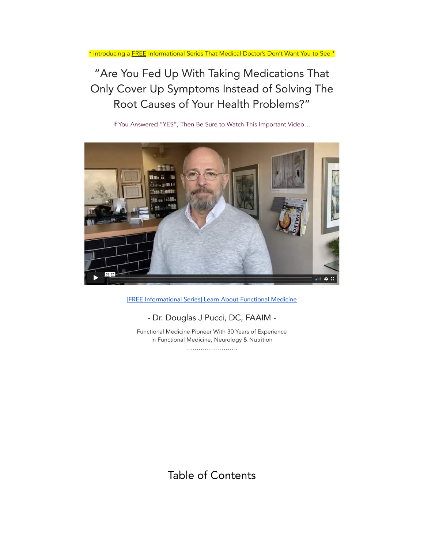\* Introducing a **FREE** Informational Series That Medical Doctor's Don't Want You to See \*

# "Are You Fed Up With Taking Medications That Only Cover Up Symptoms Instead of Solving The Root Causes of Your Health Problems?"

If You Answered "YES", Then Be Sure to Watch This Important Video…



[FREE [Informational](https://vimeo.com/499151614) Series] Learn About Functional Medicine

#### - Dr. Douglas J Pucci, DC, FAAIM -

Functional Medicine Pioneer With 30 Years of Experience In Functional Medicine, Neurology & Nutrition …………………….

Table of Contents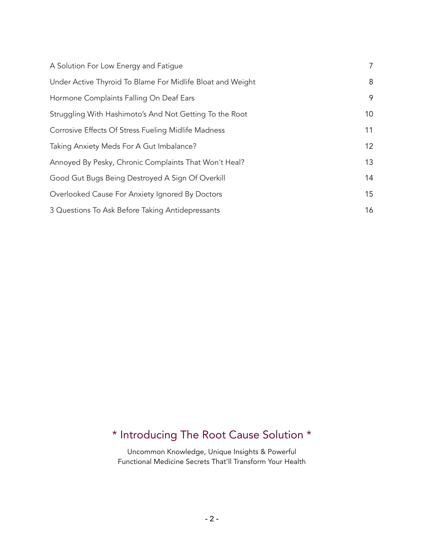| A Solution For Low Energy and Fatigue                      | 7  |
|------------------------------------------------------------|----|
| Under Active Thyroid To Blame For Midlife Bloat and Weight | 8  |
| Hormone Complaints Falling On Deaf Ears                    | 9  |
| Struggling With Hashimoto's And Not Getting To the Root    | 10 |
| Corrosive Effects Of Stress Fueling Midlife Madness        | 11 |
| Taking Anxiety Meds For A Gut Imbalance?                   | 12 |
| Annoyed By Pesky, Chronic Complaints That Won't Heal?      | 13 |
| Good Gut Bugs Being Destroyed A Sign Of Overkill           | 14 |
| Overlooked Cause For Anxiety Ignored By Doctors            | 15 |
| 3 Questions To Ask Before Taking Antidepressants           | 16 |

# \* Introducing The Root Cause Solution \*

Uncommon Knowledge, Unique Insights & Powerful Functional Medicine Secrets That'll Transform Your Health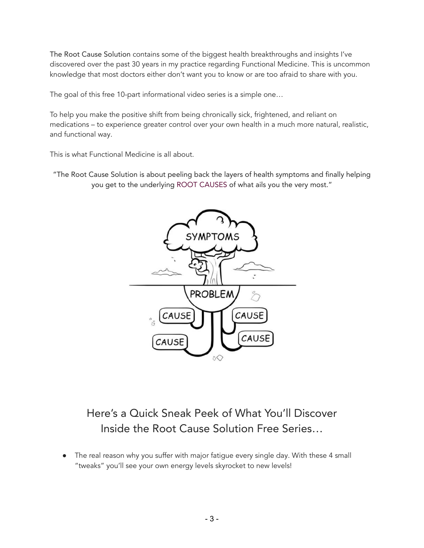The Root Cause Solution contains some of the biggest health breakthroughs and insights I've discovered over the past 30 years in my practice regarding Functional Medicine. This is uncommon knowledge that most doctors either don't want you to know or are too afraid to share with you.

The goal of this free 10-part informational video series is a simple one…

To help you make the positive shift from being chronically sick, frightened, and reliant on medications – to experience greater control over your own health in a much more natural, realistic, and functional way.

This is what Functional Medicine is all about.

"The Root Cause Solution is about peeling back the layers of health symptoms and finally helping you get to the underlying ROOT CAUSES of what ails you the very most."



# Here's a Quick Sneak Peek of What You'll Discover Inside the Root Cause Solution Free Series…

• The real reason why you suffer with major fatigue every single day. With these 4 small "tweaks" you'll see your own energy levels skyrocket to new levels!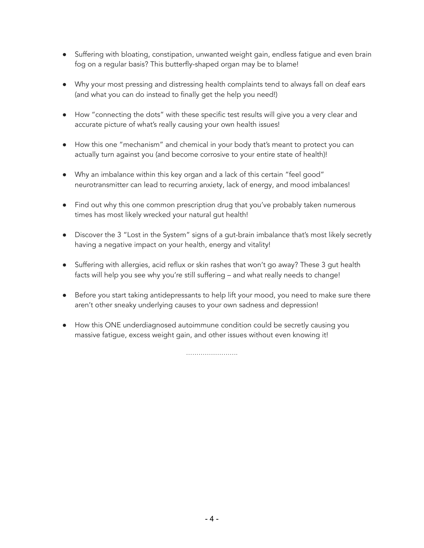- Suffering with bloating, constipation, unwanted weight gain, endless fatigue and even brain fog on a regular basis? This butterfly-shaped organ may be to blame!
- Why your most pressing and distressing health complaints tend to always fall on deaf ears (and what you can do instead to finally get the help you need!)
- How "connecting the dots" with these specific test results will give you a very clear and accurate picture of what's really causing your own health issues!
- How this one "mechanism" and chemical in your body that's meant to protect you can actually turn against you (and become corrosive to your entire state of health)!
- Why an imbalance within this key organ and a lack of this certain "feel good" neurotransmitter can lead to recurring anxiety, lack of energy, and mood imbalances!
- Find out why this one common prescription drug that you've probably taken numerous times has most likely wrecked your natural gut health!
- Discover the 3 "Lost in the System" signs of a gut-brain imbalance that's most likely secretly having a negative impact on your health, energy and vitality!
- Suffering with allergies, acid reflux or skin rashes that won't go away? These 3 gut health facts will help you see why you're still suffering – and what really needs to change!
- Before you start taking antidepressants to help lift your mood, you need to make sure there aren't other sneaky underlying causes to your own sadness and depression!
- How this ONE underdiagnosed autoimmune condition could be secretly causing you massive fatigue, excess weight gain, and other issues without even knowing it!

…………………….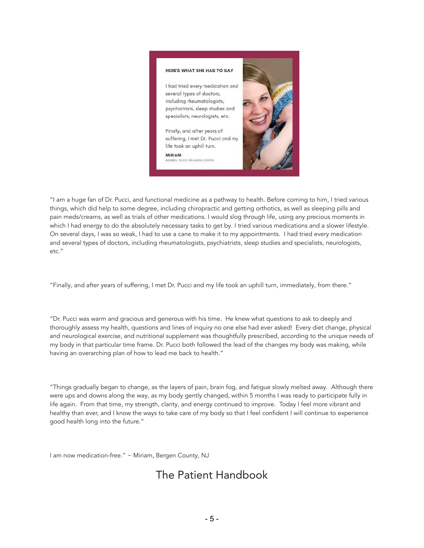

"I am a huge fan of Dr. Pucci, and functional medicine as a pathway to health. Before coming to him, I tried various things, which did help to some degree, including chiropractic and getting orthotics, as well as sleeping pills and pain meds/creams, as well as trials of other medications. I would slog through life, using any precious moments in which I had energy to do the absolutely necessary tasks to get by. I tried various medications and a slower lifestyle. On several days, I was so weak, I had to use a cane to make it to my appointments. I had tried every medication and several types of doctors, including rheumatologists, psychiatrists, sleep studies and specialists, neurologists, etc."

"Finally, and after years of suffering, I met Dr. Pucci and my life took an uphill turn, immediately, from there."

"Dr. Pucci was warm and gracious and generous with his time. He knew what questions to ask to deeply and thoroughly assess my health, questions and lines of inquiry no one else had ever asked! Every diet change, physical and neurological exercise, and nutritional supplement was thoughtfully prescribed, according to the unique needs of my body in that particular time frame. Dr. Pucci both followed the lead of the changes my body was making, while having an overarching plan of how to lead me back to health."

"Things gradually began to change, as the layers of pain, brain fog, and fatigue slowly melted away. Although there were ups and downs along the way, as my body gently changed, within 5 months I was ready to participate fully in life again. From that time, my strength, clarity, and energy continued to improve. Today I feel more vibrant and healthy than ever, and I know the ways to take care of my body so that I feel confident I will continue to experience good health long into the future."

I am now medication-free." ~ Miriam, Bergen County, NJ

## The Patient Handbook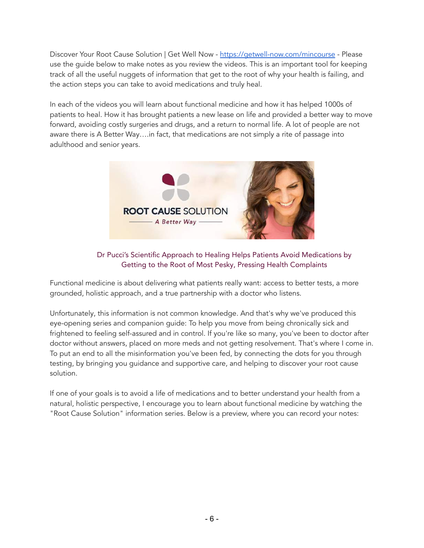Discover Your Root Cause Solution | Get Well Now - [https://getwell-now.com/mincourse](https://getwell-now.com/minicourse) - Please use the guide below to make notes as you review the videos. This is an important tool for keeping track of all the useful nuggets of information that get to the root of why your health is failing, and the action steps you can take to avoid medications and truly heal.

In each of the videos you will learn about functional medicine and how it has helped 1000s of patients to heal. How it has brought patients a new lease on life and provided a better way to move forward, avoiding costly surgeries and drugs, and a return to normal life. A lot of people are not aware there is A Better Way….in fact, that medications are not simply a rite of passage into adulthood and senior years.



#### Dr Pucci's Scientific Approach to Healing Helps Patients Avoid Medications by Getting to the Root of Most Pesky, Pressing Health Complaints

Functional medicine is about delivering what patients really want: access to better tests, a more grounded, holistic approach, and a true partnership with a doctor who listens.

Unfortunately, this information is not common knowledge. And that's why we've produced this eye-opening series and companion guide: To help you move from being chronically sick and frightened to feeling self-assured and in control. If you're like so many, you've been to doctor after doctor without answers, placed on more meds and not getting resolvement. That's where I come in. To put an end to all the misinformation you've been fed, by connecting the dots for you through testing, by bringing you guidance and supportive care, and helping to discover your root cause solution.

If one of your goals is to avoid a life of medications and to better understand your health from a natural, holistic perspective, I encourage you to learn about functional medicine by watching the "Root Cause Solution" information series. Below is a preview, where you can record your notes: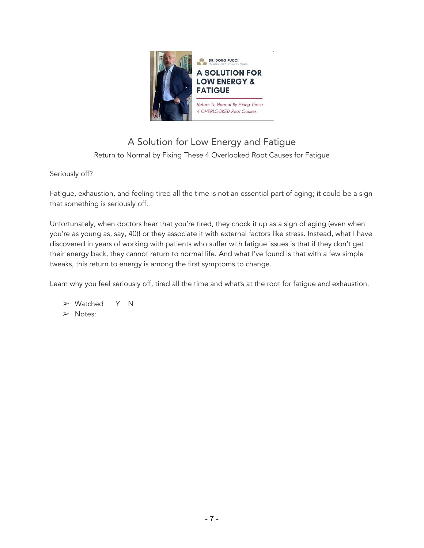

## A Solution for Low Energy and Fatigue Return to Normal by Fixing These 4 Overlooked Root Causes for Fatigue

#### Seriously off?

Fatigue, exhaustion, and feeling tired all the time is not an essential part of aging; it could be a sign that something is seriously off.

Unfortunately, when doctors hear that you're tired, they chock it up as a sign of aging (even when you're as young as, say, 40)! or they associate it with external factors like stress. Instead, what I have discovered in years of working with patients who suffer with fatigue issues is that if they don't get their energy back, they cannot return to normal life. And what I've found is that with a few simple tweaks, this return to energy is among the first symptoms to change.

Learn why you feel seriously off, tired all the time and what's at the root for fatigue and exhaustion.

➢ Watched Y N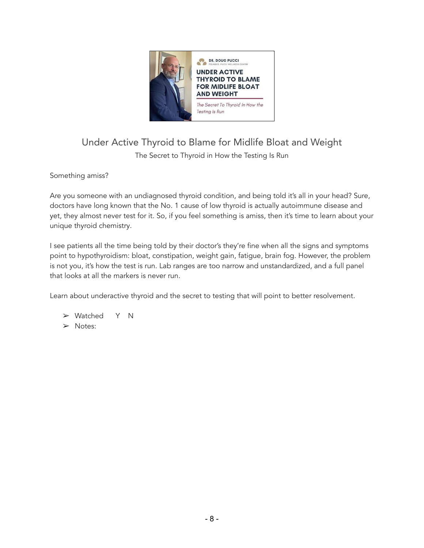

#### Under Active Thyroid to Blame for Midlife Bloat and Weight The Secret to Thyroid in How the Testing Is Run

Something amiss?

Are you someone with an undiagnosed thyroid condition, and being told it's all in your head? Sure, doctors have long known that the No. 1 cause of low thyroid is actually autoimmune disease and yet, they almost never test for it. So, if you feel something is amiss, then it's time to learn about your unique thyroid chemistry.

I see patients all the time being told by their doctor's they're fine when all the signs and symptoms point to hypothyroidism: bloat, constipation, weight gain, fatigue, brain fog. However, the problem is not you, it's how the test is run. Lab ranges are too narrow and unstandardized, and a full panel that looks at all the markers is never run.

Learn about underactive thyroid and the secret to testing that will point to better resolvement.

➢ Watched Y N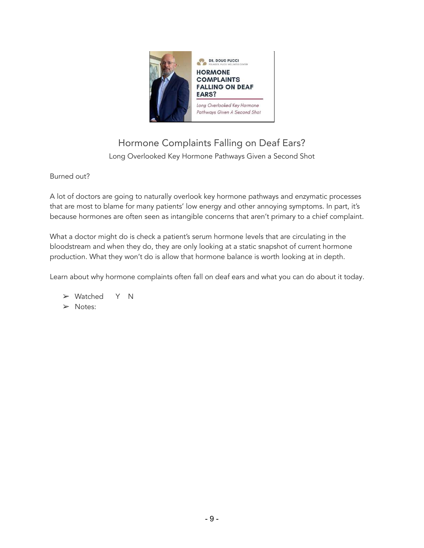

#### Hormone Complaints Falling on Deaf Ears? Long Overlooked Key Hormone Pathways Given a Second Shot

#### Burned out?

A lot of doctors are going to naturally overlook key hormone pathways and enzymatic processes that are most to blame for many patients' low energy and other annoying symptoms. In part, it's because hormones are often seen as intangible concerns that aren't primary to a chief complaint.

What a doctor might do is check a patient's serum hormone levels that are circulating in the bloodstream and when they do, they are only looking at a static snapshot of current hormone production. What they won't do is allow that hormone balance is worth looking at in depth.

Learn about why hormone complaints often fall on deaf ears and what you can do about it today.

➢ Watched Y N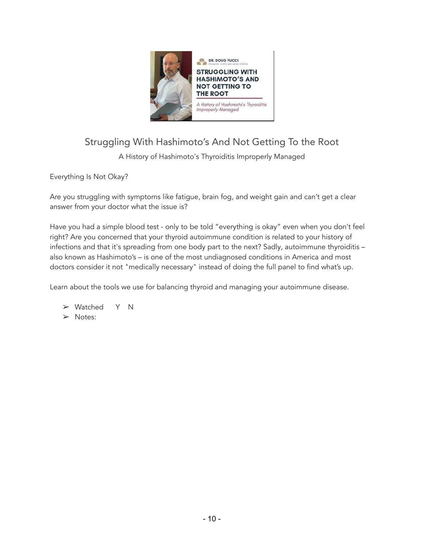

## Struggling With Hashimoto's And Not Getting To the Root

A History of Hashimoto's Thyroiditis Improperly Managed

Everything Is Not Okay?

Are you struggling with symptoms like fatigue, brain fog, and weight gain and can't get a clear answer from your doctor what the issue is?

Have you had a simple blood test - only to be told "everything is okay" even when you don't feel right? Are you concerned that your thyroid autoimmune condition is related to your history of infections and that it's spreading from one body part to the next? Sadly, autoimmune thyroiditis – also known as Hashimoto's – is one of the most undiagnosed conditions in America and most doctors consider it not "medically necessary" instead of doing the full panel to find what's up.

Learn about the tools we use for balancing thyroid and managing your autoimmune disease.

➢ Watched Y N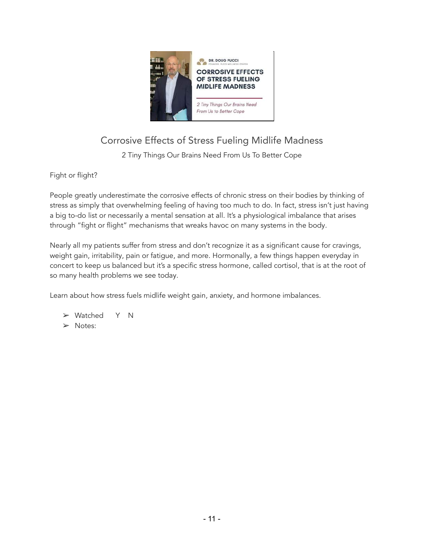

## Corrosive Effects of Stress Fueling Midlife Madness

2 Tiny Things Our Brains Need From Us To Better Cope

Fight or flight?

People greatly underestimate the corrosive effects of chronic stress on their bodies by thinking of stress as simply that overwhelming feeling of having too much to do. In fact, stress isn't just having a big to-do list or necessarily a mental sensation at all. It's a physiological imbalance that arises through "fight or flight" mechanisms that wreaks havoc on many systems in the body.

Nearly all my patients suffer from stress and don't recognize it as a significant cause for cravings, weight gain, irritability, pain or fatigue, and more. Hormonally, a few things happen everyday in concert to keep us balanced but it's a specific stress hormone, called cortisol, that is at the root of so many health problems we see today.

Learn about how stress fuels midlife weight gain, anxiety, and hormone imbalances.

➢ Watched Y N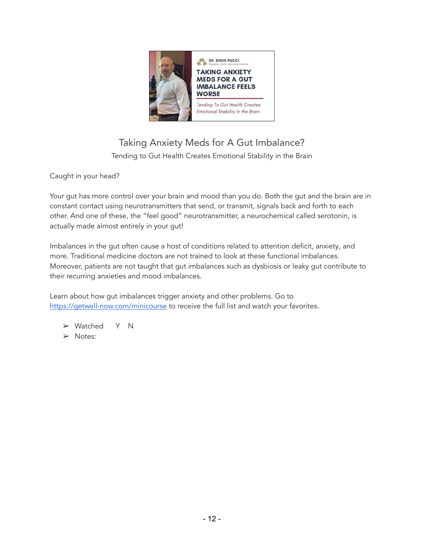

## Taking Anxiety Meds for A Gut Imbalance? Tending to Gut Health Creates Emotional Stability in the Brain

Caught in your head?

Your gut has more control over your brain and mood than you do. Both the gut and the brain are in constant contact using neurotransmitters that send, or transmit, signals back and forth to each other. And one of these, the "feel good" neurotransmitter, a neurochemical called serotonin, is actually made almost entirely in your gut!

Imbalances in the gut often cause a host of conditions related to attention deficit, anxiety, and more. Traditional medicine doctors are not trained to look at these functional imbalances. Moreover, patients are not taught that gut imbalances such as dysbiosis or leaky gut contribute to their recurring anxieties and mood imbalances.

Learn about how gut imbalances trigger anxiety and other problems. Go to <https://getwell-now.com/minicourse> to receive the full list and watch your favorites.

➢ Watched Y N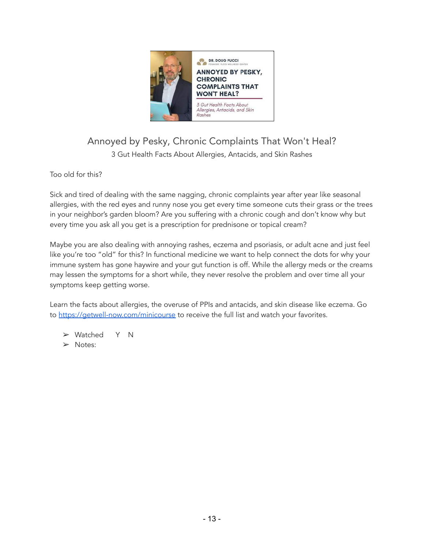

# Annoyed by Pesky, Chronic Complaints That Won't Heal?

3 Gut Health Facts About Allergies, Antacids, and Skin Rashes

Too old for this?

Sick and tired of dealing with the same nagging, chronic complaints year after year like seasonal allergies, with the red eyes and runny nose you get every time someone cuts their grass or the trees in your neighbor's garden bloom? Are you suffering with a chronic cough and don't know why but every time you ask all you get is a prescription for prednisone or topical cream?

Maybe you are also dealing with annoying rashes, eczema and psoriasis, or adult acne and just feel like you're too "old" for this? In functional medicine we want to help connect the dots for why your immune system has gone haywire and your gut function is off. While the allergy meds or the creams may lessen the symptoms for a short while, they never resolve the problem and over time all your symptoms keep getting worse.

Learn the facts about allergies, the overuse of PPIs and antacids, and skin disease like eczema. Go to <https://getwell-now.com/minicourse> to receive the full list and watch your favorites.

➢ Watched Y N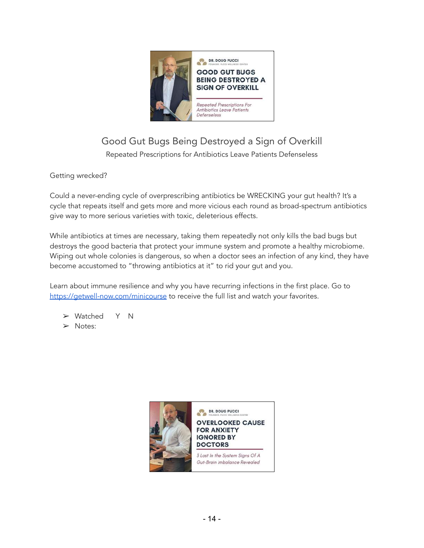

## Good Gut Bugs Being Destroyed a Sign of Overkill

Repeated Prescriptions for Antibiotics Leave Patients Defenseless

Getting wrecked?

Could a never-ending cycle of overprescribing antibiotics be WRECKING your gut health? It's a cycle that repeats itself and gets more and more vicious each round as broad-spectrum antibiotics give way to more serious varieties with toxic, deleterious effects.

While antibiotics at times are necessary, taking them repeatedly not only kills the bad bugs but destroys the good bacteria that protect your immune system and promote a healthy microbiome. Wiping out whole colonies is dangerous, so when a doctor sees an infection of any kind, they have become accustomed to "throwing antibiotics at it" to rid your gut and you.

Learn about immune resilience and why you have recurring infections in the first place. Go to <https://getwell-now.com/minicourse> to receive the full list and watch your favorites.

➢ Watched Y N

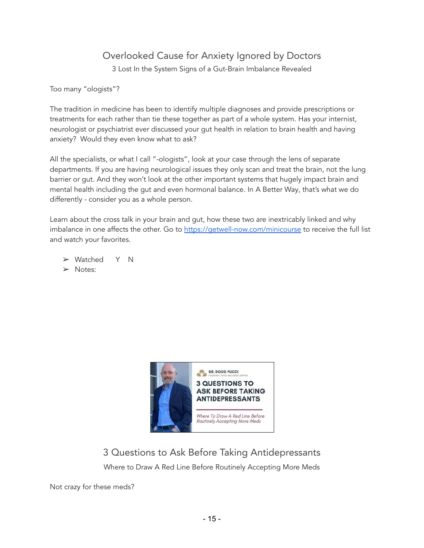### Overlooked Cause for Anxiety Ignored by Doctors

3 Lost In the System Signs of a Gut-Brain Imbalance Revealed

Too many "ologists"?

The tradition in medicine has been to identify multiple diagnoses and provide prescriptions or treatments for each rather than tie these together as part of a whole system. Has your internist, neurologist or psychiatrist ever discussed your gut health in relation to brain health and having anxiety? Would they even know what to ask?

All the specialists, or what I call "-ologists", look at your case through the lens of separate departments. If you are having neurological issues they only scan and treat the brain, not the lung barrier or gut. And they won't look at the other important systems that hugely impact brain and mental health including the gut and even hormonal balance. In A Better Way, that's what we do differently - consider you as a whole person.

Learn about the cross talk in your brain and gut, how these two are inextricably linked and why imbalance in one affects the other. Go to <https://getwell-now.com/minicourse> to receive the full list and watch your favorites.

➢ Watched Y N

➢ Notes:



3 Questions to Ask Before Taking Antidepressants Where to Draw A Red Line Before Routinely Accepting More Meds

Not crazy for these meds?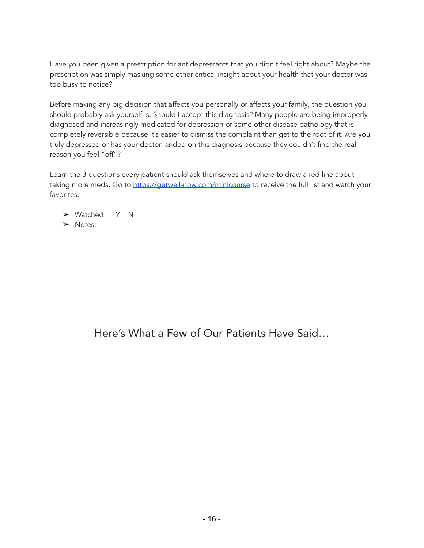Have you been given a prescription for antidepressants that you didn't feel right about? Maybe the prescription was simply masking some other critical insight about your health that your doctor was too busy to notice?

Before making any big decision that affects you personally or affects your family, the question you should probably ask yourself is: Should I accept this diagnosis? Many people are being improperly diagnosed and increasingly medicated for depression or some other disease pathology that is completely reversible because it's easier to dismiss the complaint than get to the root of it. Are you truly depressed or has your doctor landed on this diagnosis because they couldn't find the real reason you feel "off"?

Learn the 3 questions every patient should ask themselves and where to draw a red line about taking more meds. Go to <https://getwell-now.com/minicourse> to receive the full list and watch your favorites.

➢ Watched Y N

➢ Notes:

Here's What a Few of Our Patients Have Said…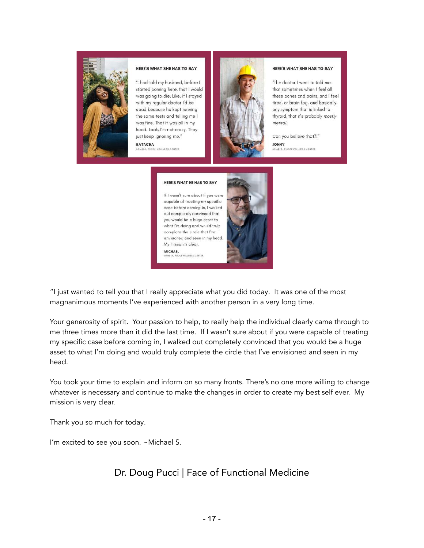

#### **HERE'S WHAT SHE HAS TO SAY**

"I had told my husband, before I started coming here, that I would was going to die. Like, if I stayed with my regular doctor I'd be dead because he kept running the same tests and telling me I was fine. That it was all in my head. Look, I'm not crazy. They just keep ignoring me."

**NATACHA VELLNESS CENTER** 



#### HERE'S WHAT SHE HAS TO SAY

"The doctor I went to told me that sometimes when I feel all these aches and pains, and I feel tired, or brain fog, and basically any symptom that is linked to thyroid, that it's probably mostly mental.

Can you believe that?!" **YANOL** MEMBER, PUCCI WELLNESS CENTER

#### HERE'S WHAT HE HAS TO SAY

If I wasn't sure about if you were capable of treating my specific case before coming in, I walked out completely convinced that you would be a huge asset to what I'm doing and would truly complete the circle that I've envisioned and seen in my head. My mission is clear. **MICHAEL WELLNERS CENTER** 



"I just wanted to tell you that I really appreciate what you did today. It was one of the most magnanimous moments I've experienced with another person in a very long time.

Your generosity of spirit. Your passion to help, to really help the individual clearly came through to me three times more than it did the last time. If I wasn't sure about if you were capable of treating my specific case before coming in, I walked out completely convinced that you would be a huge asset to what I'm doing and would truly complete the circle that I've envisioned and seen in my head.

You took your time to explain and inform on so many fronts. There's no one more willing to change whatever is necessary and continue to make the changes in order to create my best self ever. My mission is very clear.

Thank you so much for today.

I'm excited to see you soon. ~Michael S.

#### Dr. Doug Pucci | Face of Functional Medicine